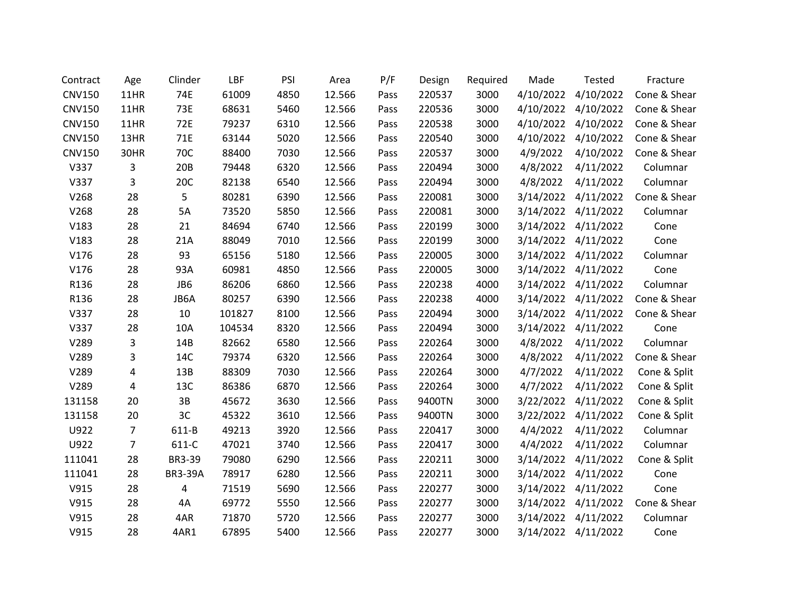| Contract      | Age            | Clinder        | LBF    | PSI  | Area   | P/F  | Design | Required | Made      | <b>Tested</b>       | Fracture     |
|---------------|----------------|----------------|--------|------|--------|------|--------|----------|-----------|---------------------|--------------|
| <b>CNV150</b> | 11HR           | 74E            | 61009  | 4850 | 12.566 | Pass | 220537 | 3000     | 4/10/2022 | 4/10/2022           | Cone & Shear |
| <b>CNV150</b> | 11HR           | 73E            | 68631  | 5460 | 12.566 | Pass | 220536 | 3000     | 4/10/2022 | 4/10/2022           | Cone & Shear |
| <b>CNV150</b> | 11HR           | 72E            | 79237  | 6310 | 12.566 | Pass | 220538 | 3000     | 4/10/2022 | 4/10/2022           | Cone & Shear |
| <b>CNV150</b> | 13HR           | 71E            | 63144  | 5020 | 12.566 | Pass | 220540 | 3000     | 4/10/2022 | 4/10/2022           | Cone & Shear |
| <b>CNV150</b> | 30HR           | 70C            | 88400  | 7030 | 12.566 | Pass | 220537 | 3000     | 4/9/2022  | 4/10/2022           | Cone & Shear |
| V337          | 3              | 20B            | 79448  | 6320 | 12.566 | Pass | 220494 | 3000     | 4/8/2022  | 4/11/2022           | Columnar     |
| V337          | 3              | 20C            | 82138  | 6540 | 12.566 | Pass | 220494 | 3000     | 4/8/2022  | 4/11/2022           | Columnar     |
| V268          | 28             | 5              | 80281  | 6390 | 12.566 | Pass | 220081 | 3000     |           | 3/14/2022 4/11/2022 | Cone & Shear |
| V268          | 28             | 5A             | 73520  | 5850 | 12.566 | Pass | 220081 | 3000     | 3/14/2022 | 4/11/2022           | Columnar     |
| V183          | 28             | 21             | 84694  | 6740 | 12.566 | Pass | 220199 | 3000     | 3/14/2022 | 4/11/2022           | Cone         |
| V183          | 28             | 21A            | 88049  | 7010 | 12.566 | Pass | 220199 | 3000     | 3/14/2022 | 4/11/2022           | Cone         |
| V176          | 28             | 93             | 65156  | 5180 | 12.566 | Pass | 220005 | 3000     | 3/14/2022 | 4/11/2022           | Columnar     |
| V176          | 28             | 93A            | 60981  | 4850 | 12.566 | Pass | 220005 | 3000     | 3/14/2022 | 4/11/2022           | Cone         |
| R136          | 28             | JB6            | 86206  | 6860 | 12.566 | Pass | 220238 | 4000     | 3/14/2022 | 4/11/2022           | Columnar     |
| R136          | 28             | JB6A           | 80257  | 6390 | 12.566 | Pass | 220238 | 4000     | 3/14/2022 | 4/11/2022           | Cone & Shear |
| V337          | 28             | 10             | 101827 | 8100 | 12.566 | Pass | 220494 | 3000     | 3/14/2022 | 4/11/2022           | Cone & Shear |
| V337          | 28             | 10A            | 104534 | 8320 | 12.566 | Pass | 220494 | 3000     | 3/14/2022 | 4/11/2022           | Cone         |
| V289          | 3              | 14B            | 82662  | 6580 | 12.566 | Pass | 220264 | 3000     | 4/8/2022  | 4/11/2022           | Columnar     |
| V289          | 3              | 14C            | 79374  | 6320 | 12.566 | Pass | 220264 | 3000     | 4/8/2022  | 4/11/2022           | Cone & Shear |
| V289          | 4              | 13B            | 88309  | 7030 | 12.566 | Pass | 220264 | 3000     | 4/7/2022  | 4/11/2022           | Cone & Split |
| V289          | 4              | 13C            | 86386  | 6870 | 12.566 | Pass | 220264 | 3000     | 4/7/2022  | 4/11/2022           | Cone & Split |
| 131158        | 20             | 3B             | 45672  | 3630 | 12.566 | Pass | 9400TN | 3000     | 3/22/2022 | 4/11/2022           | Cone & Split |
| 131158        | 20             | 3C             | 45322  | 3610 | 12.566 | Pass | 9400TN | 3000     | 3/22/2022 | 4/11/2022           | Cone & Split |
| U922          | 7              | 611-B          | 49213  | 3920 | 12.566 | Pass | 220417 | 3000     | 4/4/2022  | 4/11/2022           | Columnar     |
| U922          | $\overline{7}$ | 611-C          | 47021  | 3740 | 12.566 | Pass | 220417 | 3000     | 4/4/2022  | 4/11/2022           | Columnar     |
| 111041        | 28             | BR3-39         | 79080  | 6290 | 12.566 | Pass | 220211 | 3000     | 3/14/2022 | 4/11/2022           | Cone & Split |
| 111041        | 28             | <b>BR3-39A</b> | 78917  | 6280 | 12.566 | Pass | 220211 | 3000     | 3/14/2022 | 4/11/2022           | Cone         |
| V915          | 28             | 4              | 71519  | 5690 | 12.566 | Pass | 220277 | 3000     | 3/14/2022 | 4/11/2022           | Cone         |
| V915          | 28             | 4A             | 69772  | 5550 | 12.566 | Pass | 220277 | 3000     | 3/14/2022 | 4/11/2022           | Cone & Shear |
| V915          | 28             | 4AR            | 71870  | 5720 | 12.566 | Pass | 220277 | 3000     | 3/14/2022 | 4/11/2022           | Columnar     |
| V915          | 28             | 4AR1           | 67895  | 5400 | 12.566 | Pass | 220277 | 3000     | 3/14/2022 | 4/11/2022           | Cone         |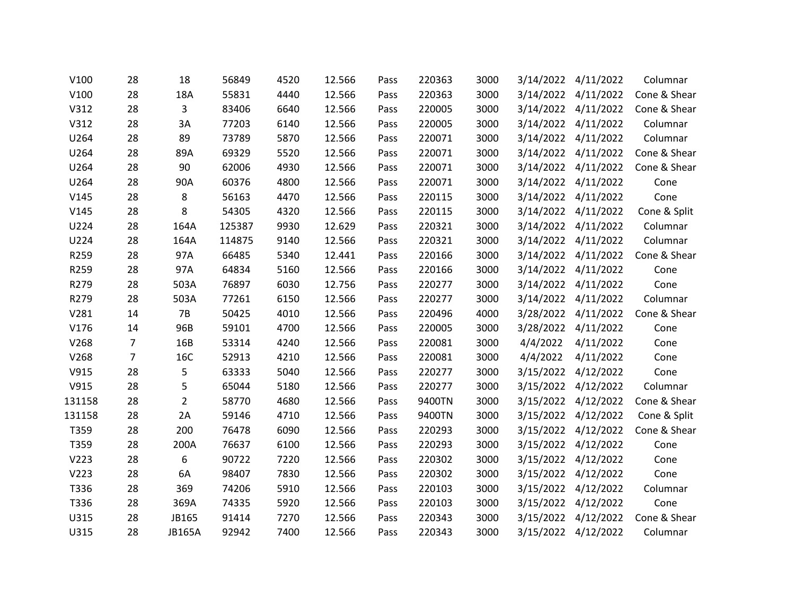| V100   | 28             | 18             | 56849  | 4520 | 12.566 | Pass | 220363 | 3000 |           | 3/14/2022 4/11/2022 | Columnar     |
|--------|----------------|----------------|--------|------|--------|------|--------|------|-----------|---------------------|--------------|
| V100   | 28             | 18A            | 55831  | 4440 | 12.566 | Pass | 220363 | 3000 |           | 3/14/2022 4/11/2022 | Cone & Shear |
| V312   | 28             | 3              | 83406  | 6640 | 12.566 | Pass | 220005 | 3000 |           | 3/14/2022 4/11/2022 | Cone & Shear |
| V312   | 28             | 3A             | 77203  | 6140 | 12.566 | Pass | 220005 | 3000 |           | 3/14/2022 4/11/2022 | Columnar     |
| U264   | 28             | 89             | 73789  | 5870 | 12.566 | Pass | 220071 | 3000 | 3/14/2022 | 4/11/2022           | Columnar     |
| U264   | 28             | 89A            | 69329  | 5520 | 12.566 | Pass | 220071 | 3000 |           | 3/14/2022 4/11/2022 | Cone & Shear |
| U264   | 28             | 90             | 62006  | 4930 | 12.566 | Pass | 220071 | 3000 |           | 3/14/2022 4/11/2022 | Cone & Shear |
| U264   | 28             | 90A            | 60376  | 4800 | 12.566 | Pass | 220071 | 3000 |           | 3/14/2022 4/11/2022 | Cone         |
| V145   | 28             | 8              | 56163  | 4470 | 12.566 | Pass | 220115 | 3000 |           | 3/14/2022 4/11/2022 | Cone         |
| V145   | 28             | 8              | 54305  | 4320 | 12.566 | Pass | 220115 | 3000 |           | 3/14/2022 4/11/2022 | Cone & Split |
| U224   | 28             | 164A           | 125387 | 9930 | 12.629 | Pass | 220321 | 3000 |           | 3/14/2022 4/11/2022 | Columnar     |
| U224   | 28             | 164A           | 114875 | 9140 | 12.566 | Pass | 220321 | 3000 |           | 3/14/2022 4/11/2022 | Columnar     |
| R259   | 28             | 97A            | 66485  | 5340 | 12.441 | Pass | 220166 | 3000 |           | 3/14/2022 4/11/2022 | Cone & Shear |
| R259   | 28             | 97A            | 64834  | 5160 | 12.566 | Pass | 220166 | 3000 |           | 3/14/2022 4/11/2022 | Cone         |
| R279   | 28             | 503A           | 76897  | 6030 | 12.756 | Pass | 220277 | 3000 |           | 3/14/2022 4/11/2022 | Cone         |
| R279   | 28             | 503A           | 77261  | 6150 | 12.566 | Pass | 220277 | 3000 | 3/14/2022 | 4/11/2022           | Columnar     |
| V281   | 14             | 7B             | 50425  | 4010 | 12.566 | Pass | 220496 | 4000 |           | 3/28/2022 4/11/2022 | Cone & Shear |
| V176   | 14             | 96B            | 59101  | 4700 | 12.566 | Pass | 220005 | 3000 |           | 3/28/2022 4/11/2022 | Cone         |
| V268   | $\overline{7}$ | 16B            | 53314  | 4240 | 12.566 | Pass | 220081 | 3000 | 4/4/2022  | 4/11/2022           | Cone         |
| V268   | $\overline{7}$ | 16C            | 52913  | 4210 | 12.566 | Pass | 220081 | 3000 | 4/4/2022  | 4/11/2022           | Cone         |
| V915   | 28             | 5              | 63333  | 5040 | 12.566 | Pass | 220277 | 3000 |           | 3/15/2022 4/12/2022 | Cone         |
| V915   | 28             | 5              | 65044  | 5180 | 12.566 | Pass | 220277 | 3000 | 3/15/2022 | 4/12/2022           | Columnar     |
| 131158 | 28             | $\overline{2}$ | 58770  | 4680 | 12.566 | Pass | 9400TN | 3000 |           | 3/15/2022 4/12/2022 | Cone & Shear |
| 131158 | 28             | 2A             | 59146  | 4710 | 12.566 | Pass | 9400TN | 3000 |           | 3/15/2022 4/12/2022 | Cone & Split |
| T359   | 28             | 200            | 76478  | 6090 | 12.566 | Pass | 220293 | 3000 |           | 3/15/2022 4/12/2022 | Cone & Shear |
| T359   | 28             | 200A           | 76637  | 6100 | 12.566 | Pass | 220293 | 3000 |           | 3/15/2022 4/12/2022 | Cone         |
| V223   | 28             | 6              | 90722  | 7220 | 12.566 | Pass | 220302 | 3000 | 3/15/2022 | 4/12/2022           | Cone         |
| V223   | 28             | 6A             | 98407  | 7830 | 12.566 | Pass | 220302 | 3000 |           | 3/15/2022 4/12/2022 | Cone         |
| T336   | 28             | 369            | 74206  | 5910 | 12.566 | Pass | 220103 | 3000 |           | 3/15/2022 4/12/2022 | Columnar     |
| T336   | 28             | 369A           | 74335  | 5920 | 12.566 | Pass | 220103 | 3000 | 3/15/2022 | 4/12/2022           | Cone         |
| U315   | 28             | JB165          | 91414  | 7270 | 12.566 | Pass | 220343 | 3000 |           | 3/15/2022 4/12/2022 | Cone & Shear |
| U315   | 28             | <b>JB165A</b>  | 92942  | 7400 | 12.566 | Pass | 220343 | 3000 |           | 3/15/2022 4/12/2022 | Columnar     |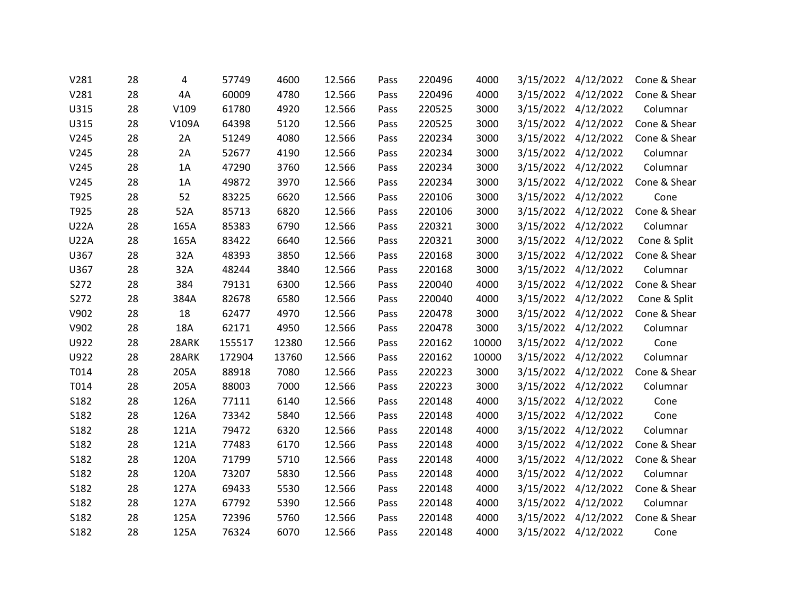| V281        | 28 | 4     | 57749  | 4600  | 12.566 | Pass | 220496 | 4000  | 3/15/2022 | 4/12/2022           | Cone & Shear |
|-------------|----|-------|--------|-------|--------|------|--------|-------|-----------|---------------------|--------------|
| V281        | 28 | 4A    | 60009  | 4780  | 12.566 | Pass | 220496 | 4000  |           | 3/15/2022 4/12/2022 | Cone & Shear |
| U315        | 28 | V109  | 61780  | 4920  | 12.566 | Pass | 220525 | 3000  |           | 3/15/2022 4/12/2022 | Columnar     |
| U315        | 28 | V109A | 64398  | 5120  | 12.566 | Pass | 220525 | 3000  | 3/15/2022 | 4/12/2022           | Cone & Shear |
| V245        | 28 | 2A    | 51249  | 4080  | 12.566 | Pass | 220234 | 3000  |           | 3/15/2022 4/12/2022 | Cone & Shear |
| V245        | 28 | 2A    | 52677  | 4190  | 12.566 | Pass | 220234 | 3000  |           | 3/15/2022 4/12/2022 | Columnar     |
| V245        | 28 | 1A    | 47290  | 3760  | 12.566 | Pass | 220234 | 3000  | 3/15/2022 | 4/12/2022           | Columnar     |
| V245        | 28 | 1A    | 49872  | 3970  | 12.566 | Pass | 220234 | 3000  |           | 3/15/2022 4/12/2022 | Cone & Shear |
| T925        | 28 | 52    | 83225  | 6620  | 12.566 | Pass | 220106 | 3000  |           | 3/15/2022 4/12/2022 | Cone         |
| T925        | 28 | 52A   | 85713  | 6820  | 12.566 | Pass | 220106 | 3000  | 3/15/2022 | 4/12/2022           | Cone & Shear |
| <b>U22A</b> | 28 | 165A  | 85383  | 6790  | 12.566 | Pass | 220321 | 3000  |           | 3/15/2022 4/12/2022 | Columnar     |
| <b>U22A</b> | 28 | 165A  | 83422  | 6640  | 12.566 | Pass | 220321 | 3000  |           | 3/15/2022 4/12/2022 | Cone & Split |
| U367        | 28 | 32A   | 48393  | 3850  | 12.566 | Pass | 220168 | 3000  |           | 3/15/2022 4/12/2022 | Cone & Shear |
| U367        | 28 | 32A   | 48244  | 3840  | 12.566 | Pass | 220168 | 3000  |           | 3/15/2022 4/12/2022 | Columnar     |
| S272        | 28 | 384   | 79131  | 6300  | 12.566 | Pass | 220040 | 4000  |           | 3/15/2022 4/12/2022 | Cone & Shear |
| S272        | 28 | 384A  | 82678  | 6580  | 12.566 | Pass | 220040 | 4000  | 3/15/2022 | 4/12/2022           | Cone & Split |
| V902        | 28 | 18    | 62477  | 4970  | 12.566 | Pass | 220478 | 3000  |           | 3/15/2022 4/12/2022 | Cone & Shear |
| V902        | 28 | 18A   | 62171  | 4950  | 12.566 | Pass | 220478 | 3000  |           | 3/15/2022 4/12/2022 | Columnar     |
| U922        | 28 | 28ARK | 155517 | 12380 | 12.566 | Pass | 220162 | 10000 |           | 3/15/2022 4/12/2022 | Cone         |
| U922        | 28 | 28ARK | 172904 | 13760 | 12.566 | Pass | 220162 | 10000 |           | 3/15/2022 4/12/2022 | Columnar     |
| T014        | 28 | 205A  | 88918  | 7080  | 12.566 | Pass | 220223 | 3000  |           | 3/15/2022 4/12/2022 | Cone & Shear |
| T014        | 28 | 205A  | 88003  | 7000  | 12.566 | Pass | 220223 | 3000  |           | 3/15/2022 4/12/2022 | Columnar     |
| S182        | 28 | 126A  | 77111  | 6140  | 12.566 | Pass | 220148 | 4000  |           | 3/15/2022 4/12/2022 | Cone         |
| S182        | 28 | 126A  | 73342  | 5840  | 12.566 | Pass | 220148 | 4000  | 3/15/2022 | 4/12/2022           | Cone         |
| S182        | 28 | 121A  | 79472  | 6320  | 12.566 | Pass | 220148 | 4000  |           | 3/15/2022 4/12/2022 | Columnar     |
| S182        | 28 | 121A  | 77483  | 6170  | 12.566 | Pass | 220148 | 4000  |           | 3/15/2022 4/12/2022 | Cone & Shear |
| S182        | 28 | 120A  | 71799  | 5710  | 12.566 | Pass | 220148 | 4000  | 3/15/2022 | 4/12/2022           | Cone & Shear |
| S182        | 28 | 120A  | 73207  | 5830  | 12.566 | Pass | 220148 | 4000  | 3/15/2022 | 4/12/2022           | Columnar     |
| S182        | 28 | 127A  | 69433  | 5530  | 12.566 | Pass | 220148 | 4000  |           | 3/15/2022 4/12/2022 | Cone & Shear |
| S182        | 28 | 127A  | 67792  | 5390  | 12.566 | Pass | 220148 | 4000  | 3/15/2022 | 4/12/2022           | Columnar     |
| S182        | 28 | 125A  | 72396  | 5760  | 12.566 | Pass | 220148 | 4000  | 3/15/2022 | 4/12/2022           | Cone & Shear |
| S182        | 28 | 125A  | 76324  | 6070  | 12.566 | Pass | 220148 | 4000  |           | 3/15/2022 4/12/2022 | Cone         |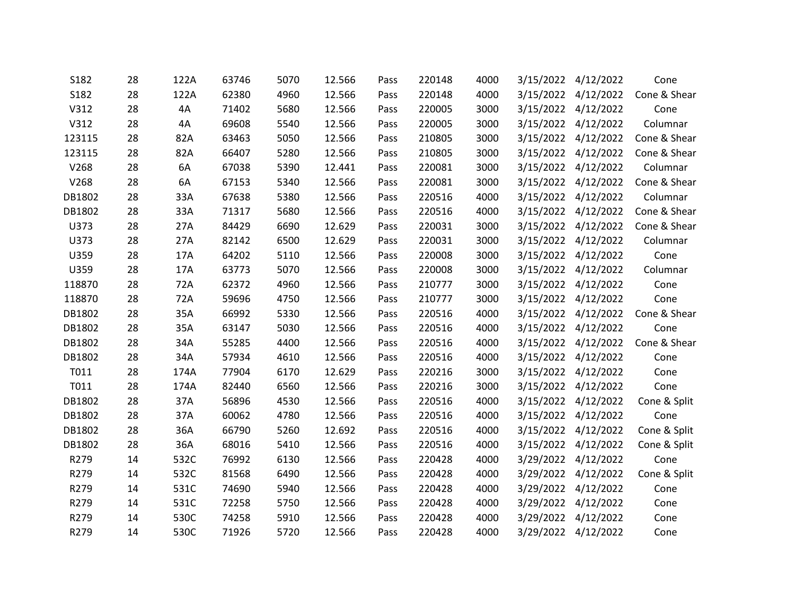| S182   | 28 | 122A | 63746 | 5070 | 12.566 | Pass | 220148 | 4000 | 3/15/2022 | 4/12/2022           | Cone         |
|--------|----|------|-------|------|--------|------|--------|------|-----------|---------------------|--------------|
| S182   | 28 | 122A | 62380 | 4960 | 12.566 | Pass | 220148 | 4000 | 3/15/2022 | 4/12/2022           | Cone & Shear |
| V312   | 28 | 4A   | 71402 | 5680 | 12.566 | Pass | 220005 | 3000 |           | 3/15/2022 4/12/2022 | Cone         |
| V312   | 28 | 4A   | 69608 | 5540 | 12.566 | Pass | 220005 | 3000 |           | 3/15/2022 4/12/2022 | Columnar     |
| 123115 | 28 | 82A  | 63463 | 5050 | 12.566 | Pass | 210805 | 3000 | 3/15/2022 | 4/12/2022           | Cone & Shear |
| 123115 | 28 | 82A  | 66407 | 5280 | 12.566 | Pass | 210805 | 3000 |           | 3/15/2022 4/12/2022 | Cone & Shear |
| V268   | 28 | 6A   | 67038 | 5390 | 12.441 | Pass | 220081 | 3000 | 3/15/2022 | 4/12/2022           | Columnar     |
| V268   | 28 | 6A   | 67153 | 5340 | 12.566 | Pass | 220081 | 3000 |           | 3/15/2022 4/12/2022 | Cone & Shear |
| DB1802 | 28 | 33A  | 67638 | 5380 | 12.566 | Pass | 220516 | 4000 |           | 3/15/2022 4/12/2022 | Columnar     |
| DB1802 | 28 | 33A  | 71317 | 5680 | 12.566 | Pass | 220516 | 4000 |           | 3/15/2022 4/12/2022 | Cone & Shear |
| U373   | 28 | 27A  | 84429 | 6690 | 12.629 | Pass | 220031 | 3000 |           | 3/15/2022 4/12/2022 | Cone & Shear |
| U373   | 28 | 27A  | 82142 | 6500 | 12.629 | Pass | 220031 | 3000 |           | 3/15/2022 4/12/2022 | Columnar     |
| U359   | 28 | 17A  | 64202 | 5110 | 12.566 | Pass | 220008 | 3000 |           | 3/15/2022 4/12/2022 | Cone         |
| U359   | 28 | 17A  | 63773 | 5070 | 12.566 | Pass | 220008 | 3000 |           | 3/15/2022 4/12/2022 | Columnar     |
| 118870 | 28 | 72A  | 62372 | 4960 | 12.566 | Pass | 210777 | 3000 |           | 3/15/2022 4/12/2022 | Cone         |
| 118870 | 28 | 72A  | 59696 | 4750 | 12.566 | Pass | 210777 | 3000 | 3/15/2022 | 4/12/2022           | Cone         |
| DB1802 | 28 | 35A  | 66992 | 5330 | 12.566 | Pass | 220516 | 4000 |           | 3/15/2022 4/12/2022 | Cone & Shear |
| DB1802 | 28 | 35A  | 63147 | 5030 | 12.566 | Pass | 220516 | 4000 |           | 3/15/2022 4/12/2022 | Cone         |
| DB1802 | 28 | 34A  | 55285 | 4400 | 12.566 | Pass | 220516 | 4000 | 3/15/2022 | 4/12/2022           | Cone & Shear |
| DB1802 | 28 | 34A  | 57934 | 4610 | 12.566 | Pass | 220516 | 4000 |           | 3/15/2022 4/12/2022 | Cone         |
| T011   | 28 | 174A | 77904 | 6170 | 12.629 | Pass | 220216 | 3000 |           | 3/15/2022 4/12/2022 | Cone         |
| T011   | 28 | 174A | 82440 | 6560 | 12.566 | Pass | 220216 | 3000 | 3/15/2022 | 4/12/2022           | Cone         |
| DB1802 | 28 | 37A  | 56896 | 4530 | 12.566 | Pass | 220516 | 4000 |           | 3/15/2022 4/12/2022 | Cone & Split |
| DB1802 | 28 | 37A  | 60062 | 4780 | 12.566 | Pass | 220516 | 4000 |           | 3/15/2022 4/12/2022 | Cone         |
| DB1802 | 28 | 36A  | 66790 | 5260 | 12.692 | Pass | 220516 | 4000 |           | 3/15/2022 4/12/2022 | Cone & Split |
| DB1802 | 28 | 36A  | 68016 | 5410 | 12.566 | Pass | 220516 | 4000 |           | 3/15/2022 4/12/2022 | Cone & Split |
| R279   | 14 | 532C | 76992 | 6130 | 12.566 | Pass | 220428 | 4000 | 3/29/2022 | 4/12/2022           | Cone         |
| R279   | 14 | 532C | 81568 | 6490 | 12.566 | Pass | 220428 | 4000 | 3/29/2022 | 4/12/2022           | Cone & Split |
| R279   | 14 | 531C | 74690 | 5940 | 12.566 | Pass | 220428 | 4000 |           | 3/29/2022 4/12/2022 | Cone         |
| R279   | 14 | 531C | 72258 | 5750 | 12.566 | Pass | 220428 | 4000 | 3/29/2022 | 4/12/2022           | Cone         |
| R279   | 14 | 530C | 74258 | 5910 | 12.566 | Pass | 220428 | 4000 | 3/29/2022 | 4/12/2022           | Cone         |
| R279   | 14 | 530C | 71926 | 5720 | 12.566 | Pass | 220428 | 4000 |           | 3/29/2022 4/12/2022 | Cone         |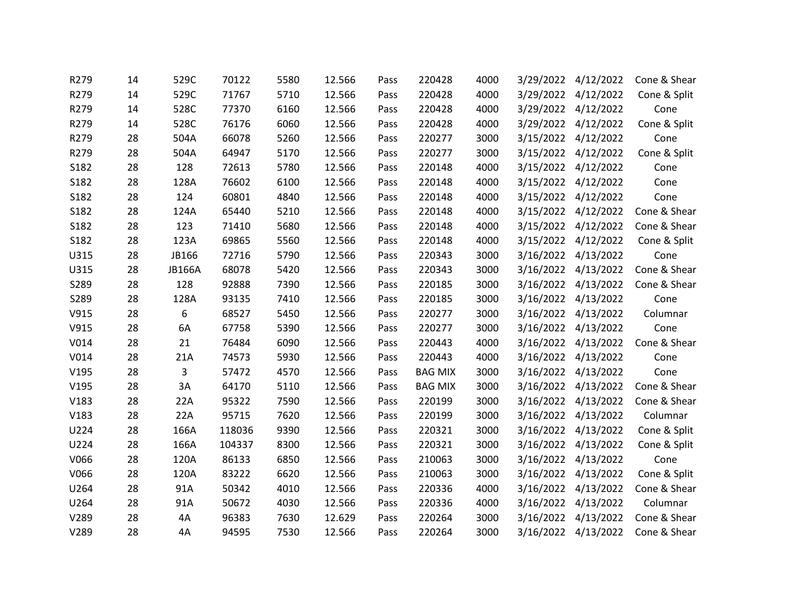| R279             | 14 | 529C          | 70122  | 5580 | 12.566 | Pass | 220428         | 4000 | 3/29/2022 | 4/12/2022           | Cone & Shear |
|------------------|----|---------------|--------|------|--------|------|----------------|------|-----------|---------------------|--------------|
| R279             | 14 | 529C          | 71767  | 5710 | 12.566 | Pass | 220428         | 4000 | 3/29/2022 | 4/12/2022           | Cone & Split |
| R279             | 14 | 528C          | 77370  | 6160 | 12.566 | Pass | 220428         | 4000 |           | 3/29/2022 4/12/2022 | Cone         |
| R279             | 14 | 528C          | 76176  | 6060 | 12.566 | Pass | 220428         | 4000 | 3/29/2022 | 4/12/2022           | Cone & Split |
| R279             | 28 | 504A          | 66078  | 5260 | 12.566 | Pass | 220277         | 3000 | 3/15/2022 | 4/12/2022           | Cone         |
| R279             | 28 | 504A          | 64947  | 5170 | 12.566 | Pass | 220277         | 3000 |           | 3/15/2022 4/12/2022 | Cone & Split |
| S182             | 28 | 128           | 72613  | 5780 | 12.566 | Pass | 220148         | 4000 | 3/15/2022 | 4/12/2022           | Cone         |
| S182             | 28 | 128A          | 76602  | 6100 | 12.566 | Pass | 220148         | 4000 | 3/15/2022 | 4/12/2022           | Cone         |
| S182             | 28 | 124           | 60801  | 4840 | 12.566 | Pass | 220148         | 4000 |           | 3/15/2022 4/12/2022 | Cone         |
| S182             | 28 | 124A          | 65440  | 5210 | 12.566 | Pass | 220148         | 4000 | 3/15/2022 | 4/12/2022           | Cone & Shear |
| S182             | 28 | 123           | 71410  | 5680 | 12.566 | Pass | 220148         | 4000 | 3/15/2022 | 4/12/2022           | Cone & Shear |
| S182             | 28 | 123A          | 69865  | 5560 | 12.566 | Pass | 220148         | 4000 | 3/15/2022 | 4/12/2022           | Cone & Split |
| U315             | 28 | JB166         | 72716  | 5790 | 12.566 | Pass | 220343         | 3000 | 3/16/2022 | 4/13/2022           | Cone         |
| U315             | 28 | <b>JB166A</b> | 68078  | 5420 | 12.566 | Pass | 220343         | 3000 |           | 3/16/2022 4/13/2022 | Cone & Shear |
| S289             | 28 | 128           | 92888  | 7390 | 12.566 | Pass | 220185         | 3000 | 3/16/2022 | 4/13/2022           | Cone & Shear |
| S289             | 28 | 128A          | 93135  | 7410 | 12.566 | Pass | 220185         | 3000 | 3/16/2022 | 4/13/2022           | Cone         |
| V915             | 28 | 6             | 68527  | 5450 | 12.566 | Pass | 220277         | 3000 | 3/16/2022 | 4/13/2022           | Columnar     |
| V915             | 28 | 6A            | 67758  | 5390 | 12.566 | Pass | 220277         | 3000 | 3/16/2022 | 4/13/2022           | Cone         |
| V <sub>014</sub> | 28 | 21            | 76484  | 6090 | 12.566 | Pass | 220443         | 4000 | 3/16/2022 | 4/13/2022           | Cone & Shear |
| V <sub>014</sub> | 28 | 21A           | 74573  | 5930 | 12.566 | Pass | 220443         | 4000 | 3/16/2022 | 4/13/2022           | Cone         |
| V195             | 28 | 3             | 57472  | 4570 | 12.566 | Pass | <b>BAG MIX</b> | 3000 | 3/16/2022 | 4/13/2022           | Cone         |
| V195             | 28 | 3A            | 64170  | 5110 | 12.566 | Pass | <b>BAG MIX</b> | 3000 | 3/16/2022 | 4/13/2022           | Cone & Shear |
| V183             | 28 | 22A           | 95322  | 7590 | 12.566 | Pass | 220199         | 3000 | 3/16/2022 | 4/13/2022           | Cone & Shear |
| V183             | 28 | 22A           | 95715  | 7620 | 12.566 | Pass | 220199         | 3000 | 3/16/2022 | 4/13/2022           | Columnar     |
| U224             | 28 | 166A          | 118036 | 9390 | 12.566 | Pass | 220321         | 3000 | 3/16/2022 | 4/13/2022           | Cone & Split |
| U224             | 28 | 166A          | 104337 | 8300 | 12.566 | Pass | 220321         | 3000 |           | 3/16/2022 4/13/2022 | Cone & Split |
| V066             | 28 | 120A          | 86133  | 6850 | 12.566 | Pass | 210063         | 3000 | 3/16/2022 | 4/13/2022           | Cone         |
| V066             | 28 | 120A          | 83222  | 6620 | 12.566 | Pass | 210063         | 3000 | 3/16/2022 | 4/13/2022           | Cone & Split |
| U264             | 28 | 91A           | 50342  | 4010 | 12.566 | Pass | 220336         | 4000 |           | 3/16/2022 4/13/2022 | Cone & Shear |
| U264             | 28 | 91A           | 50672  | 4030 | 12.566 | Pass | 220336         | 4000 | 3/16/2022 | 4/13/2022           | Columnar     |
| V289             | 28 | 4A            | 96383  | 7630 | 12.629 | Pass | 220264         | 3000 | 3/16/2022 | 4/13/2022           | Cone & Shear |
| V289             | 28 | 4A            | 94595  | 7530 | 12.566 | Pass | 220264         | 3000 |           | 3/16/2022 4/13/2022 | Cone & Shear |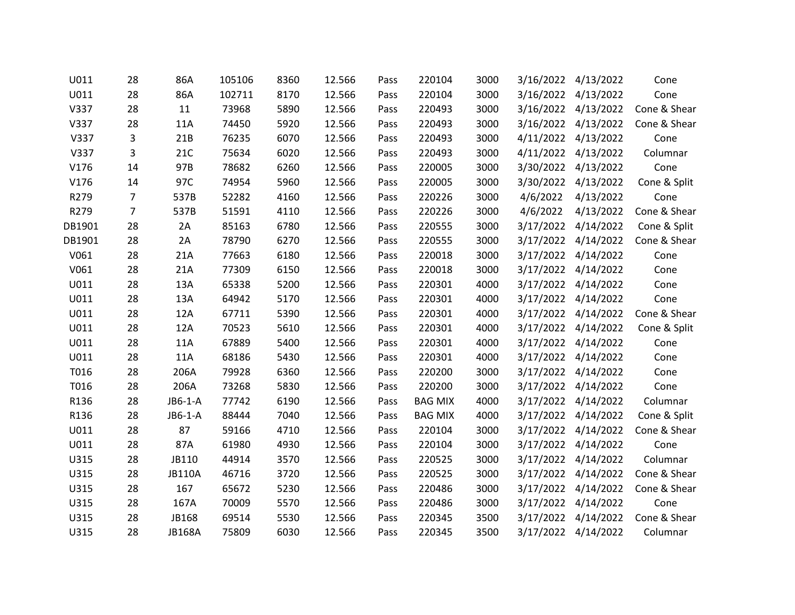| U011   | 28             | 86A           | 105106 | 8360 | 12.566 | Pass | 220104         | 3000 | 3/16/2022 | 4/13/2022           | Cone         |
|--------|----------------|---------------|--------|------|--------|------|----------------|------|-----------|---------------------|--------------|
| U011   | 28             | 86A           | 102711 | 8170 | 12.566 | Pass | 220104         | 3000 | 3/16/2022 | 4/13/2022           | Cone         |
| V337   | 28             | 11            | 73968  | 5890 | 12.566 | Pass | 220493         | 3000 |           | 3/16/2022 4/13/2022 | Cone & Shear |
| V337   | 28             | 11A           | 74450  | 5920 | 12.566 | Pass | 220493         | 3000 | 3/16/2022 | 4/13/2022           | Cone & Shear |
| V337   | 3              | 21B           | 76235  | 6070 | 12.566 | Pass | 220493         | 3000 | 4/11/2022 | 4/13/2022           | Cone         |
| V337   | 3              | 21C           | 75634  | 6020 | 12.566 | Pass | 220493         | 3000 |           | 4/11/2022 4/13/2022 | Columnar     |
| V176   | 14             | 97B           | 78682  | 6260 | 12.566 | Pass | 220005         | 3000 | 3/30/2022 | 4/13/2022           | Cone         |
| V176   | 14             | 97C           | 74954  | 5960 | 12.566 | Pass | 220005         | 3000 |           | 3/30/2022 4/13/2022 | Cone & Split |
| R279   | $\overline{7}$ | 537B          | 52282  | 4160 | 12.566 | Pass | 220226         | 3000 | 4/6/2022  | 4/13/2022           | Cone         |
| R279   | $\overline{7}$ | 537B          | 51591  | 4110 | 12.566 | Pass | 220226         | 3000 | 4/6/2022  | 4/13/2022           | Cone & Shear |
| DB1901 | 28             | 2A            | 85163  | 6780 | 12.566 | Pass | 220555         | 3000 | 3/17/2022 | 4/14/2022           | Cone & Split |
| DB1901 | 28             | 2A            | 78790  | 6270 | 12.566 | Pass | 220555         | 3000 |           | 3/17/2022 4/14/2022 | Cone & Shear |
| V061   | 28             | 21A           | 77663  | 6180 | 12.566 | Pass | 220018         | 3000 | 3/17/2022 | 4/14/2022           | Cone         |
| V061   | 28             | 21A           | 77309  | 6150 | 12.566 | Pass | 220018         | 3000 |           | 3/17/2022 4/14/2022 | Cone         |
| U011   | 28             | 13A           | 65338  | 5200 | 12.566 | Pass | 220301         | 4000 |           | 3/17/2022 4/14/2022 | Cone         |
| U011   | 28             | 13A           | 64942  | 5170 | 12.566 | Pass | 220301         | 4000 | 3/17/2022 | 4/14/2022           | Cone         |
| U011   | 28             | 12A           | 67711  | 5390 | 12.566 | Pass | 220301         | 4000 |           | 3/17/2022 4/14/2022 | Cone & Shear |
| U011   | 28             | 12A           | 70523  | 5610 | 12.566 | Pass | 220301         | 4000 |           | 3/17/2022 4/14/2022 | Cone & Split |
| U011   | 28             | 11A           | 67889  | 5400 | 12.566 | Pass | 220301         | 4000 | 3/17/2022 | 4/14/2022           | Cone         |
| U011   | 28             | 11A           | 68186  | 5430 | 12.566 | Pass | 220301         | 4000 |           | 3/17/2022 4/14/2022 | Cone         |
| T016   | 28             | 206A          | 79928  | 6360 | 12.566 | Pass | 220200         | 3000 |           | 3/17/2022 4/14/2022 | Cone         |
| T016   | 28             | 206A          | 73268  | 5830 | 12.566 | Pass | 220200         | 3000 | 3/17/2022 | 4/14/2022           | Cone         |
| R136   | 28             | JB6-1-A       | 77742  | 6190 | 12.566 | Pass | <b>BAG MIX</b> | 4000 |           | 3/17/2022 4/14/2022 | Columnar     |
| R136   | 28             | JB6-1-A       | 88444  | 7040 | 12.566 | Pass | <b>BAG MIX</b> | 4000 |           | 3/17/2022 4/14/2022 | Cone & Split |
| U011   | 28             | 87            | 59166  | 4710 | 12.566 | Pass | 220104         | 3000 |           | 3/17/2022 4/14/2022 | Cone & Shear |
| U011   | 28             | 87A           | 61980  | 4930 | 12.566 | Pass | 220104         | 3000 |           | 3/17/2022 4/14/2022 | Cone         |
| U315   | 28             | JB110         | 44914  | 3570 | 12.566 | Pass | 220525         | 3000 | 3/17/2022 | 4/14/2022           | Columnar     |
| U315   | 28             | <b>JB110A</b> | 46716  | 3720 | 12.566 | Pass | 220525         | 3000 | 3/17/2022 | 4/14/2022           | Cone & Shear |
| U315   | 28             | 167           | 65672  | 5230 | 12.566 | Pass | 220486         | 3000 |           | 3/17/2022 4/14/2022 | Cone & Shear |
| U315   | 28             | 167A          | 70009  | 5570 | 12.566 | Pass | 220486         | 3000 | 3/17/2022 | 4/14/2022           | Cone         |
| U315   | 28             | JB168         | 69514  | 5530 | 12.566 | Pass | 220345         | 3500 | 3/17/2022 | 4/14/2022           | Cone & Shear |
| U315   | 28             | <b>JB168A</b> | 75809  | 6030 | 12.566 | Pass | 220345         | 3500 |           | 3/17/2022 4/14/2022 | Columnar     |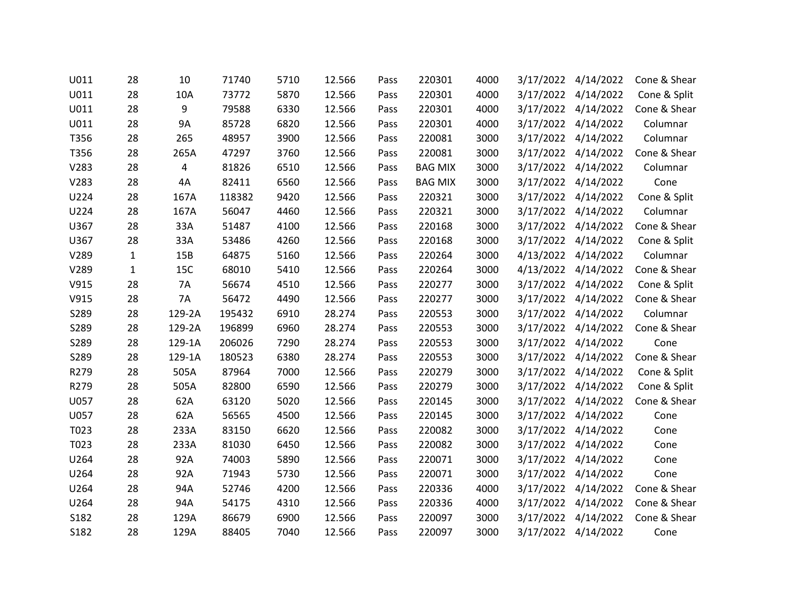| U011 | 28           | 10        | 71740  | 5710 | 12.566 | Pass | 220301         | 4000 | 3/17/2022 | 4/14/2022           | Cone & Shear |
|------|--------------|-----------|--------|------|--------|------|----------------|------|-----------|---------------------|--------------|
| U011 | 28           | 10A       | 73772  | 5870 | 12.566 | Pass | 220301         | 4000 |           | 3/17/2022 4/14/2022 | Cone & Split |
| U011 | 28           | 9         | 79588  | 6330 | 12.566 | Pass | 220301         | 4000 |           | 3/17/2022 4/14/2022 | Cone & Shear |
| U011 | 28           | <b>9A</b> | 85728  | 6820 | 12.566 | Pass | 220301         | 4000 | 3/17/2022 | 4/14/2022           | Columnar     |
| T356 | 28           | 265       | 48957  | 3900 | 12.566 | Pass | 220081         | 3000 |           | 3/17/2022 4/14/2022 | Columnar     |
| T356 | 28           | 265A      | 47297  | 3760 | 12.566 | Pass | 220081         | 3000 |           | 3/17/2022 4/14/2022 | Cone & Shear |
| V283 | 28           | 4         | 81826  | 6510 | 12.566 | Pass | <b>BAG MIX</b> | 3000 | 3/17/2022 | 4/14/2022           | Columnar     |
| V283 | 28           | 4A        | 82411  | 6560 | 12.566 | Pass | <b>BAG MIX</b> | 3000 |           | 3/17/2022 4/14/2022 | Cone         |
| U224 | 28           | 167A      | 118382 | 9420 | 12.566 | Pass | 220321         | 3000 |           | 3/17/2022 4/14/2022 | Cone & Split |
| U224 | 28           | 167A      | 56047  | 4460 | 12.566 | Pass | 220321         | 3000 | 3/17/2022 | 4/14/2022           | Columnar     |
| U367 | 28           | 33A       | 51487  | 4100 | 12.566 | Pass | 220168         | 3000 |           | 3/17/2022 4/14/2022 | Cone & Shear |
| U367 | 28           | 33A       | 53486  | 4260 | 12.566 | Pass | 220168         | 3000 |           | 3/17/2022 4/14/2022 | Cone & Split |
| V289 | $\mathbf{1}$ | 15B       | 64875  | 5160 | 12.566 | Pass | 220264         | 3000 | 4/13/2022 | 4/14/2022           | Columnar     |
| V289 | $\mathbf{1}$ | 15C       | 68010  | 5410 | 12.566 | Pass | 220264         | 3000 |           | 4/13/2022 4/14/2022 | Cone & Shear |
| V915 | 28           | 7A        | 56674  | 4510 | 12.566 | Pass | 220277         | 3000 |           | 3/17/2022 4/14/2022 | Cone & Split |
| V915 | 28           | 7A        | 56472  | 4490 | 12.566 | Pass | 220277         | 3000 | 3/17/2022 | 4/14/2022           | Cone & Shear |
| S289 | 28           | 129-2A    | 195432 | 6910 | 28.274 | Pass | 220553         | 3000 |           | 3/17/2022 4/14/2022 | Columnar     |
| S289 | 28           | 129-2A    | 196899 | 6960 | 28.274 | Pass | 220553         | 3000 | 3/17/2022 | 4/14/2022           | Cone & Shear |
| S289 | 28           | 129-1A    | 206026 | 7290 | 28.274 | Pass | 220553         | 3000 |           | 3/17/2022 4/14/2022 | Cone         |
| S289 | 28           | 129-1A    | 180523 | 6380 | 28.274 | Pass | 220553         | 3000 |           | 3/17/2022 4/14/2022 | Cone & Shear |
| R279 | 28           | 505A      | 87964  | 7000 | 12.566 | Pass | 220279         | 3000 |           | 3/17/2022 4/14/2022 | Cone & Split |
| R279 | 28           | 505A      | 82800  | 6590 | 12.566 | Pass | 220279         | 3000 |           | 3/17/2022 4/14/2022 | Cone & Split |
| U057 | 28           | 62A       | 63120  | 5020 | 12.566 | Pass | 220145         | 3000 |           | 3/17/2022 4/14/2022 | Cone & Shear |
| U057 | 28           | 62A       | 56565  | 4500 | 12.566 | Pass | 220145         | 3000 | 3/17/2022 | 4/14/2022           | Cone         |
| T023 | 28           | 233A      | 83150  | 6620 | 12.566 | Pass | 220082         | 3000 |           | 3/17/2022 4/14/2022 | Cone         |
| T023 | 28           | 233A      | 81030  | 6450 | 12.566 | Pass | 220082         | 3000 |           | 3/17/2022 4/14/2022 | Cone         |
| U264 | 28           | 92A       | 74003  | 5890 | 12.566 | Pass | 220071         | 3000 | 3/17/2022 | 4/14/2022           | Cone         |
| U264 | 28           | 92A       | 71943  | 5730 | 12.566 | Pass | 220071         | 3000 | 3/17/2022 | 4/14/2022           | Cone         |
| U264 | 28           | 94A       | 52746  | 4200 | 12.566 | Pass | 220336         | 4000 |           | 3/17/2022 4/14/2022 | Cone & Shear |
| U264 | 28           | 94A       | 54175  | 4310 | 12.566 | Pass | 220336         | 4000 | 3/17/2022 | 4/14/2022           | Cone & Shear |
| S182 | 28           | 129A      | 86679  | 6900 | 12.566 | Pass | 220097         | 3000 | 3/17/2022 | 4/14/2022           | Cone & Shear |
| S182 | 28           | 129A      | 88405  | 7040 | 12.566 | Pass | 220097         | 3000 |           | 3/17/2022 4/14/2022 | Cone         |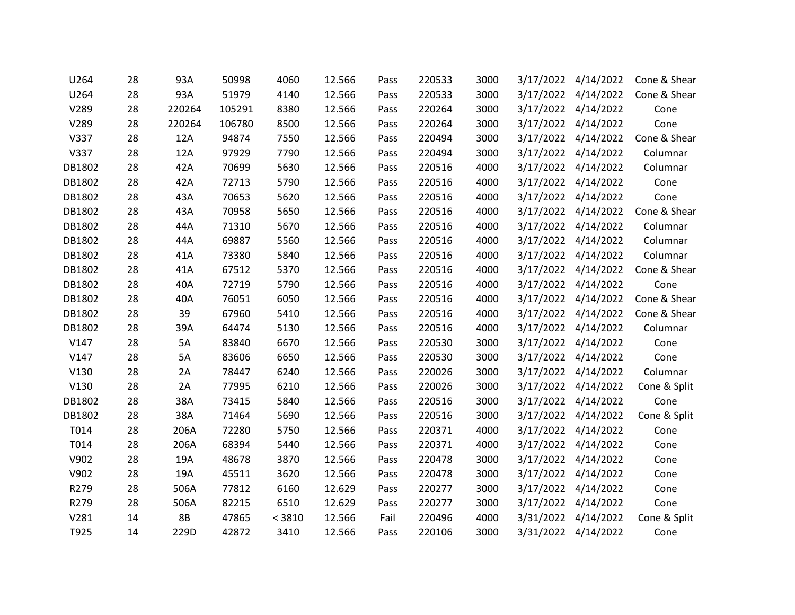| U264   | 28 | 93A       | 50998  | 4060   | 12.566 | Pass | 220533 | 3000 | 3/17/2022 | 4/14/2022           | Cone & Shear |
|--------|----|-----------|--------|--------|--------|------|--------|------|-----------|---------------------|--------------|
| U264   | 28 | 93A       | 51979  | 4140   | 12.566 | Pass | 220533 | 3000 | 3/17/2022 | 4/14/2022           | Cone & Shear |
| V289   | 28 | 220264    | 105291 | 8380   | 12.566 | Pass | 220264 | 3000 |           | 3/17/2022 4/14/2022 | Cone         |
| V289   | 28 | 220264    | 106780 | 8500   | 12.566 | Pass | 220264 | 3000 |           | 3/17/2022 4/14/2022 | Cone         |
| V337   | 28 | 12A       | 94874  | 7550   | 12.566 | Pass | 220494 | 3000 | 3/17/2022 | 4/14/2022           | Cone & Shear |
| V337   | 28 | 12A       | 97929  | 7790   | 12.566 | Pass | 220494 | 3000 |           | 3/17/2022 4/14/2022 | Columnar     |
| DB1802 | 28 | 42A       | 70699  | 5630   | 12.566 | Pass | 220516 | 4000 |           | 3/17/2022 4/14/2022 | Columnar     |
| DB1802 | 28 | 42A       | 72713  | 5790   | 12.566 | Pass | 220516 | 4000 |           | 3/17/2022 4/14/2022 | Cone         |
| DB1802 | 28 | 43A       | 70653  | 5620   | 12.566 | Pass | 220516 | 4000 |           | 3/17/2022 4/14/2022 | Cone         |
| DB1802 | 28 | 43A       | 70958  | 5650   | 12.566 | Pass | 220516 | 4000 |           | 3/17/2022 4/14/2022 | Cone & Shear |
| DB1802 | 28 | 44A       | 71310  | 5670   | 12.566 | Pass | 220516 | 4000 |           | 3/17/2022 4/14/2022 | Columnar     |
| DB1802 | 28 | 44A       | 69887  | 5560   | 12.566 | Pass | 220516 | 4000 |           | 3/17/2022 4/14/2022 | Columnar     |
| DB1802 | 28 | 41A       | 73380  | 5840   | 12.566 | Pass | 220516 | 4000 |           | 3/17/2022 4/14/2022 | Columnar     |
| DB1802 | 28 | 41A       | 67512  | 5370   | 12.566 | Pass | 220516 | 4000 |           | 3/17/2022 4/14/2022 | Cone & Shear |
| DB1802 | 28 | 40A       | 72719  | 5790   | 12.566 | Pass | 220516 | 4000 |           | 3/17/2022 4/14/2022 | Cone         |
| DB1802 | 28 | 40A       | 76051  | 6050   | 12.566 | Pass | 220516 | 4000 | 3/17/2022 | 4/14/2022           | Cone & Shear |
| DB1802 | 28 | 39        | 67960  | 5410   | 12.566 | Pass | 220516 | 4000 |           | 3/17/2022 4/14/2022 | Cone & Shear |
| DB1802 | 28 | 39A       | 64474  | 5130   | 12.566 | Pass | 220516 | 4000 |           | 3/17/2022 4/14/2022 | Columnar     |
| V147   | 28 | 5A        | 83840  | 6670   | 12.566 | Pass | 220530 | 3000 |           | 3/17/2022 4/14/2022 | Cone         |
| V147   | 28 | 5A        | 83606  | 6650   | 12.566 | Pass | 220530 | 3000 |           | 3/17/2022 4/14/2022 | Cone         |
| V130   | 28 | 2A        | 78447  | 6240   | 12.566 | Pass | 220026 | 3000 |           | 3/17/2022 4/14/2022 | Columnar     |
| V130   | 28 | 2A        | 77995  | 6210   | 12.566 | Pass | 220026 | 3000 | 3/17/2022 | 4/14/2022           | Cone & Split |
| DB1802 | 28 | 38A       | 73415  | 5840   | 12.566 | Pass | 220516 | 3000 |           | 3/17/2022 4/14/2022 | Cone         |
| DB1802 | 28 | 38A       | 71464  | 5690   | 12.566 | Pass | 220516 | 3000 |           | 3/17/2022 4/14/2022 | Cone & Split |
| T014   | 28 | 206A      | 72280  | 5750   | 12.566 | Pass | 220371 | 4000 |           | 3/17/2022 4/14/2022 | Cone         |
| T014   | 28 | 206A      | 68394  | 5440   | 12.566 | Pass | 220371 | 4000 |           | 3/17/2022 4/14/2022 | Cone         |
| V902   | 28 | 19A       | 48678  | 3870   | 12.566 | Pass | 220478 | 3000 |           | 3/17/2022 4/14/2022 | Cone         |
| V902   | 28 | 19A       | 45511  | 3620   | 12.566 | Pass | 220478 | 3000 | 3/17/2022 | 4/14/2022           | Cone         |
| R279   | 28 | 506A      | 77812  | 6160   | 12.629 | Pass | 220277 | 3000 |           | 3/17/2022 4/14/2022 | Cone         |
| R279   | 28 | 506A      | 82215  | 6510   | 12.629 | Pass | 220277 | 3000 | 3/17/2022 | 4/14/2022           | Cone         |
| V281   | 14 | <b>8B</b> | 47865  | < 3810 | 12.566 | Fail | 220496 | 4000 |           | 3/31/2022 4/14/2022 | Cone & Split |
| T925   | 14 | 229D      | 42872  | 3410   | 12.566 | Pass | 220106 | 3000 |           | 3/31/2022 4/14/2022 | Cone         |